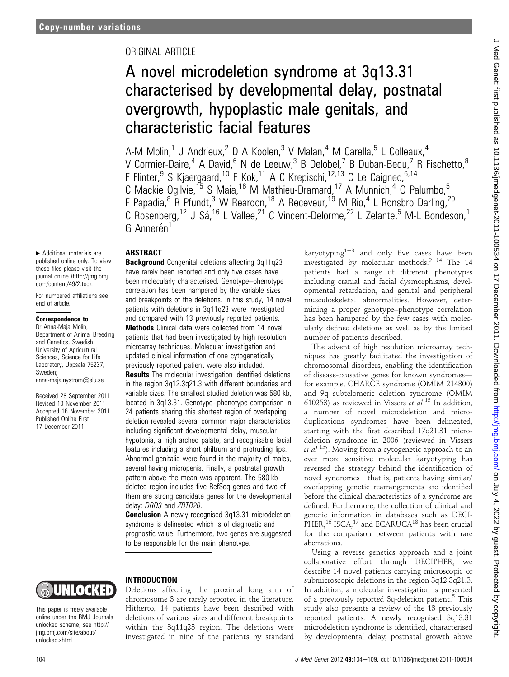# ORIGINAL ARTICLE

# A novel microdeletion syndrome at 3q13.31 characterised by developmental delay, postnatal overgrowth, hypoplastic male genitals, and characteristic facial features

A-M Molin,<sup>1</sup> J Andrieux,<sup>2</sup> D A Koolen,<sup>3</sup> V Malan,<sup>4</sup> M Carella,<sup>5</sup> L Colleaux,<sup>4</sup> V Cormier-Daire,<sup>4</sup> A David,<sup>6</sup> N de Leeuw,<sup>3</sup> B Delobel,<sup>7</sup> B Duban-Bedu,<sup>7</sup> R Fischetto,<sup>8</sup> F Flinter,  $9 \text{ S}$  Kjaergaard,  $10 \text{ F}$  Kok,  $11 \text{ A}$  C Krepischi,  $12,13 \text{ C}$  Le Caignec,  $6,14 \text{ C}$ C Mackie Ogilvie,<sup>15</sup> S Maia,<sup>16</sup> M Mathieu-Dramard,<sup>17</sup> A Munnich,<sup>4</sup> O Palumbo,<sup>5</sup> F Papadia,<sup>8</sup> R Pfundt,<sup>3</sup> W Reardon,<sup>18</sup> A Receveur,<sup>19</sup> M Rio,<sup>4</sup> L Ronsbro Darling,<sup>20</sup> C Rosenberg,<sup>12</sup> J Sá,<sup>16</sup> L Vallee,<sup>21</sup> C Vincent-Delorme,<sup>22</sup> L Zelante,<sup>5</sup> M-L Bondeson,<sup>1</sup> G Annerén<sup>1</sup>

< Additional materials are published online only. To view these files please visit the journal online (http://jmg.bmj. com/content/49/2.toc).

For numbered affiliations see end of article.

#### Correspondence to

Dr Anna-Maja Molin, Department of Animal Breeding and Genetics, Swedish University of Agricultural Sciences, Science for Life Laboratory, Uppsala 75237, Sweden; anna-maja.nystrom@slu.se

Received 28 September 2011 Revised 10 November 2011 Accepted 16 November 2011 Published Online First 17 December 2011

### ABSTRACT

Background Congenital deletions affecting 3q11q23 have rarely been reported and only five cases have been molecularly characterised. Genotype-phenotype correlation has been hampered by the variable sizes and breakpoints of the deletions. In this study, 14 novel patients with deletions in 3q11q23 were investigated and compared with 13 previously reported patients. Methods Clinical data were collected from 14 novel

patients that had been investigated by high resolution microarray techniques. Molecular investigation and updated clinical information of one cytogenetically previously reported patient were also included.

**Results** The molecular investigation identified deletions in the region 3q12.3q21.3 with different boundaries and variable sizes. The smallest studied deletion was 580 kb, located in 3q13.31. Genotype-phenotype comparison in 24 patients sharing this shortest region of overlapping deletion revealed several common major characteristics including significant developmental delay, muscular hypotonia, a high arched palate, and recognisable facial features including a short philtrum and protruding lips. Abnormal genitalia were found in the majority of males, several having micropenis. Finally, a postnatal growth pattern above the mean was apparent. The 580 kb deleted region includes five RefSeq genes and two of them are strong candidate genes for the developmental delay: DRD3 and ZBTB20.

**Conclusion** A newly recognised 3q13.31 microdeletion syndrome is delineated which is of diagnostic and prognostic value. Furthermore, two genes are suggested to be responsible for the main phenotype.

karyotyping<sup>1-8</sup> and only five cases have been investigated by molecular methods. $9-14$  The 14 patients had a range of different phenotypes including cranial and facial dysmorphisms, developmental retardation, and genital and peripheral musculoskeletal abnormalities. However, determining a proper genotype-phenotype correlation has been hampered by the few cases with molecularly defined deletions as well as by the limited number of patients described.

The advent of high resolution microarray techniques has greatly facilitated the investigation of chromosomal disorders, enabling the identification of disease-causative genes for known syndromesfor example, CHARGE syndrome (OMIM 214800) and 9q subtelomeric deletion syndrome (OMIM 610253) as reviewed in Vissers et  $al.^{15}$  In addition, a number of novel microdeletion and microduplications syndromes have been delineated, starting with the first described 17q21.31 microdeletion syndrome in 2006 (reviewed in Vissers *et al* <sup>15</sup>). Moving from a cytogenetic approach to an ever more sensitive molecular karyotyping has reversed the strategy behind the identification of novel syndromes—that is, patients having similar/ overlapping genetic rearrangements are identified before the clinical characteristics of a syndrome are defined. Furthermore, the collection of clinical and genetic information in databases such as DECI- $PHER<sub>1</sub><sup>16</sup> ISCA<sub>1</sub><sup>17</sup>$  and ECARUCA<sup>18</sup> has been crucial for the comparison between patients with rare aberrations.

Using a reverse genetics approach and a joint collaborative effort through DECIPHER, we describe 14 novel patients carrying microscopic or submicroscopic deletions in the region 3q12.3q21.3. In addition, a molecular investigation is presented of a previously reported 3q-deletion patient.<sup>5</sup> This study also presents a review of the 13 previously reported patients. A newly recognised 3q13.31 microdeletion syndrome is identified, characterised by developmental delay, postnatal growth above

J Med Genet: first published as 10.1136/jmedgenet-2011-100534 on 17 December 2011. Downloaded from <http://jmg.bmj.com/> on July 4, 2022 by guest. Protected by copyright. Med Genet: first published as 10.1136/jmedgenet-2011-100534 on 17 December 2011. Downloaded from http://jmg.bmj.com/ on July 4, 2022 by guest. Protected by copyright

# UNIOCKED

This paper is freely available online under the BMJ Journals unlocked scheme, see http:// jmg.bmj.com/site/about/ unlocked.xhtml

# INTRODUCTION

Deletions affecting the proximal long arm of chromosome 3 are rarely reported in the literature. Hitherto, 14 patients have been described with deletions of various sizes and different breakpoints within the 3q11q23 region. The deletions were investigated in nine of the patients by standard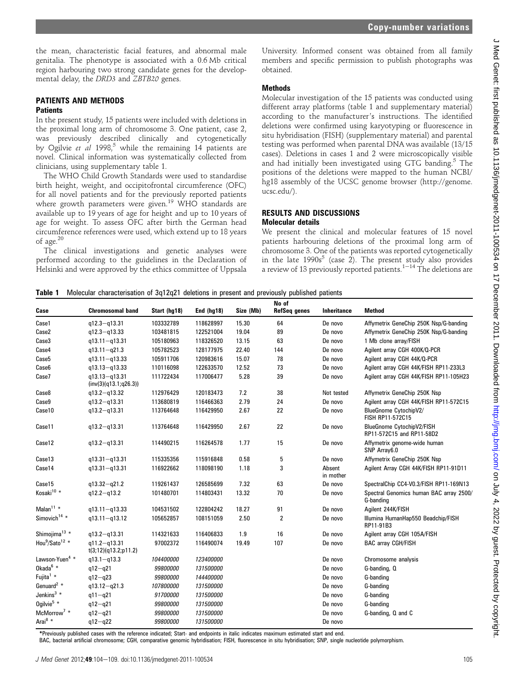the mean, characteristic facial features, and abnormal male genitalia. The phenotype is associated with a 0.6 Mb critical region harbouring two strong candidate genes for the developmental delay, the DRD3 and ZBTB20 genes.

# PATIENTS AND METHODS

## **Patients**

In the present study, 15 patients were included with deletions in the proximal long arm of chromosome 3. One patient, case 2, was previously described clinically and cytogenetically by Ogilvie et al 1998,<sup>5</sup> while the remaining 14 patients are novel. Clinical information was systematically collected from clinicians, using supplementary table 1.

The WHO Child Growth Standards were used to standardise birth height, weight, and occipitofrontal circumference (OFC) for all novel patients and for the previously reported patients where growth parameters were given.<sup>19</sup> WHO standards are available up to 19 years of age for height and up to 10 years of age for weight. To assess OFC after birth the German head circumference references were used, which extend up to 18 years of age.<sup>20</sup>

The clinical investigations and genetic analyses were performed according to the guidelines in the Declaration of Helsinki and were approved by the ethics committee of Uppsala

University. Informed consent was obtained from all family members and specific permission to publish photographs was obtained.

### Methods

Molecular investigation of the 15 patients was conducted using different array platforms (table 1 and supplementary material) according to the manufacturer's instructions. The identified deletions were confirmed using karyotyping or fluorescence in situ hybridisation (FISH) (supplementary material) and parental testing was performed when parental DNA was available (13/15 cases). Deletions in cases 1 and 2 were microscopically visible and had initially been investigated using GTG banding.<sup>5</sup> The positions of the deletions were mapped to the human NCBI/ hg18 assembly of the UCSC genome browser (http://genome. ucsc.edu/).

#### RESULTS AND DISCUSSIONS Molecular details

We present the clinical and molecular features of 15 novel patients harbouring deletions of the proximal long arm of chromosome 3. One of the patients was reported cytogenetically in the late  $1990s^5$  (case 2). The present study also provides a review of 13 previously reported patients.<sup>1-14</sup> The deletions are

Table 1 Molecular characterisation of 3q12q21 deletions in present and previously published patients

|                                        |                                            |              |              |           | No of               |                     |                                                        |
|----------------------------------------|--------------------------------------------|--------------|--------------|-----------|---------------------|---------------------|--------------------------------------------------------|
| Case                                   | <b>Chromosomal band</b>                    | Start (hg18) | End $(hq18)$ | Size (Mb) | <b>RefSeq genes</b> | Inheritance         | <b>Method</b>                                          |
| Case1                                  | $q12.3 - q13.31$                           | 103332789    | 118628997    | 15.30     | 64                  | De novo             | Affymetrix GeneChip 250K Nsp/G-banding                 |
| Case2                                  | $q12.3 - q13.33$                           | 103481815    | 122521004    | 19.04     | 89                  | De novo             | Affymetrix GeneChip 250K Nsp/G-banding                 |
| Case3                                  | $q13.11 - q13.31$                          | 105180963    | 118326520    | 13.15     | 63                  | De novo             | 1 Mb clone array/FISH                                  |
| Case4                                  | $q13.11 - q21.3$                           | 105782523    | 128177975    | 22.40     | 144                 | De novo             | Agilent array CGH 400K/Q-PCR                           |
| Case <sub>5</sub>                      | $q13.11 - q13.33$                          | 105911706    | 120983616    | 15.07     | 78                  | De novo             | Agilent array CGH 44K/Q-PCR                            |
| Case6                                  | $q13.13 - q13.33$                          | 110116098    | 122633570    | 12.52     | 73                  | De novo             | Agilent array CGH 44K/FISH RP11-233L3                  |
| Case7                                  | $q13.13 - q13.31$<br>(inv(3)(q13.1;q26.3)) | 111722434    | 117006477    | 5.28      | 39                  | De novo             | Agilent array CGH 44K/FISH RP11-105H23                 |
| Case8                                  | $q13.2 - q13.32$                           | 112976429    | 120183473    | 7.2       | 38                  | Not tested          | Affymetrix GeneChip 250K Nsp                           |
| Case9                                  | $q13.2 - q13.31$                           | 113680819    | 116466363    | 2.79      | 24                  | De novo             | Agilent array CGH 44K/FISH RP11-572C15                 |
| Case10                                 | $q13.2 - q13.31$                           | 113764648    | 116429950    | 2.67      | 22                  | De novo             | BlueGnome CytochipV2/<br>FISH RP11-572C15              |
| Case11                                 | $q13.2 - q13.31$                           | 113764648    | 116429950    | 2.67      | 22                  | De novo             | BlueGnome CytochipV2/FISH<br>RP11-572C15 and RP11-58D2 |
| Case12                                 | $q13.2 - q13.31$                           | 114490215    | 116264578    | 1.77      | 15                  | De novo             | Affymetrix genome-wide human<br>SNP Array6.0           |
| Case13                                 | $q13.31 - q13.31$                          | 115335356    | 115916848    | 0.58      | 5                   | De novo             | Affymetrix GeneChip 250K Nsp                           |
| Case14                                 | $q13.31 - q13.31$                          | 116922662    | 118098190    | 1.18      | 3                   | Absent<br>in mother | Agilent Array CGH 44K/FISH RP11-91D11                  |
| Case15                                 | $q13.32 - q21.2$                           | 119261437    | 126585699    | 7.32      | 63                  | De novo             | SpectralChip CC4-V0.3/FISH RP11-169N13                 |
| Kosaki <sup>10</sup> *                 | $q12.2 - q13.2$                            | 101480701    | 114803431    | 13.32     | 70                  | De novo             | Spectral Genomics human BAC array 2500/<br>G-banding   |
| Malan $11$ *                           | $q13.11 - q13.33$                          | 104531502    | 122804242    | 18.27     | 91                  | De novo             | Agilent 244K/FISH                                      |
| Simovich <sup>14 <math>*</math></sup>  | $q13.11 - q13.12$                          | 105652857    | 108151059    | 2.50      | $\overline{2}$      | De novo             | Illumina HumanHap550 Beadchip/FISH<br>RP11-91B3        |
| Shimojima <sup>13</sup> *              | $q13.2 - q13.31$                           | 114321633    | 116406833    | 1.9       | 16                  | De novo             | Agilent array CGH 105A/FISH                            |
| Hou <sup>9</sup> /Sato <sup>12</sup> * | $q11.2 - q13.31$<br>t(3;12)(q13.2;p11.2)   | 97002372     | 116490074    | 19.49     | 107                 | De novo             | <b>BAC array CGH/FISH</b>                              |
| Lawson-Yuen <sup>4</sup> *             | $q13.1 - q13.3$                            | 104400000    | 123400000    |           |                     | De novo             | Chromosome analysis                                    |
| Okada <sup>6</sup> *                   | $q12 - q21$                                | 99800000     | 131500000    |           |                     | De novo             | G-banding, Q                                           |
| Fujita <sup>1</sup> *                  | $q12 - q23$                                | 99800000     | 144400000    |           |                     | De novo             | G-banding                                              |
| Genuard <sup>2</sup> $*$               | $q13.12 - q21.3$                           | 107800000    | 131500000    |           |                     | De novo             | G-banding                                              |
| Jenkins $3$ *                          | $q11 - q21$                                | 91700000     | 131500000    |           |                     | De novo             | G-banding                                              |
| Ogilvie <sup>5</sup> $*$               | $q12 - q21$                                | 99800000     | 131500000    |           |                     | De novo             | G-banding                                              |
| McMorrow <sup>7</sup> *                | $q12 - q21$                                | 99800000     | 131500000    |           |                     | De novo             | G-banding, Q and C                                     |
| Arai $^{8*}$                           | $q12 - q22$                                | 99800000     | 131500000    |           |                     | De novo             |                                                        |

\*Previously published cases with the reference indicated; Start- and endpoints in italic indicates maximum estimated start and end.

BAC, bacterial artificial chromosome; CGH, comparative genomic hybridisation; FISH, fluorescence in situ hybridisation; SNP, single nucleotide polymorphism.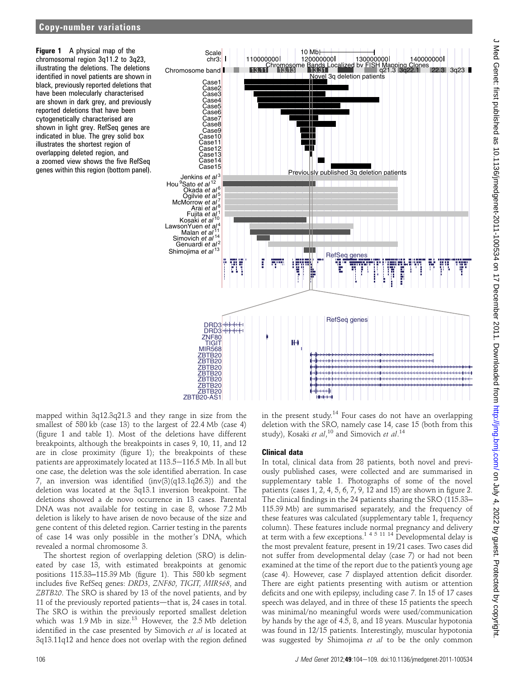Figure 1 A physical map of the chromosomal region 3q11.2 to 3q23, illustrating the deletions. The deletions identified in novel patients are shown in black, previously reported deletions that have been molecularly characterised are shown in dark grey, and previously reported deletions that have been cytogenetically characterised are shown in light grey. RefSeq genes are indicated in blue. The grey solid box illustrates the shortest region of overlapping deleted region, and a zoomed view shows the five RefSeq genes within this region (bottom panel).



mapped within 3q12.3q21.3 and they range in size from the smallest of 580 kb (case 13) to the largest of 22.4 Mb (case 4) (figure 1 and table 1). Most of the deletions have different breakpoints, although the breakpoints in cases 9, 10, 11, and 12 are in close proximity (figure 1); the breakpoints of these patients are approximately located at 113.5–116.5 Mb. In all but one case, the deletion was the sole identified aberration. In case 7, an inversion was identified (inv(3)(q13.1q26.3)) and the deletion was located at the 3q13.1 inversion breakpoint. The deletions showed a de novo occurrence in 13 cases. Parental DNA was not available for testing in case 8, whose 7.2 Mb deletion is likely to have arisen de novo because of the size and gene content of this deleted region. Carrier testing in the parents of case 14 was only possible in the mother's DNA, which revealed a normal chromosome 3.

The shortest region of overlapping deletion (SRO) is delineated by case 13, with estimated breakpoints at genomic positions 115.33–115.39 Mb (figure 1). This 580 kb segment includes five RefSeq genes: DRD3, ZNF80, TIGIT, MIR568, and ZBTB20. The SRO is shared by 13 of the novel patients, and by 11 of the previously reported patients—that is,  $24$  cases in total. The SRO is within the previously reported smallest deletion which was 1.9 Mb in size.<sup>13</sup> However, the 2.5 Mb deletion identified in the case presented by Simovich et al is located at 3q13.11q12 and hence does not overlap with the region defined in the present study.<sup>14</sup> Four cases do not have an overlapping deletion with the SRO, namely case 14, case 15 (both from this study), Kosaki et al,<sup>10</sup> and Simovich et al.<sup>14</sup>

## Clinical data

In total, clinical data from 28 patients, both novel and previously published cases, were collected and are summarised in supplementary table 1. Photographs of some of the novel patients (cases 1, 2, 4, 5, 6, 7, 9, 12 and 15) are shown in figure 2. The clinical findings in the 24 patients sharing the SRO (115.33-115.39 Mb) are summarised separately, and the frequency of these features was calculated (supplementary table 1, frequency column). These features include normal pregnancy and delivery at term with a few exceptions.<sup>145 114</sup> Developmental delay is the most prevalent feature, present in 19/21 cases. Two cases did not suffer from developmental delay (case 7) or had not been examined at the time of the report due to the patient's young age (case 4). However, case 7 displayed attention deficit disorder. There are eight patients presenting with autism or attention deficits and one with epilepsy, including case 7. In 15 of 17 cases speech was delayed, and in three of these 15 patients the speech was minimal/no meaningful words were used/communication by hands by the age of 4.5, 8, and 18 years. Muscular hypotonia was found in 12/15 patients. Interestingly, muscular hypotonia was suggested by Shimojima et al to be the only common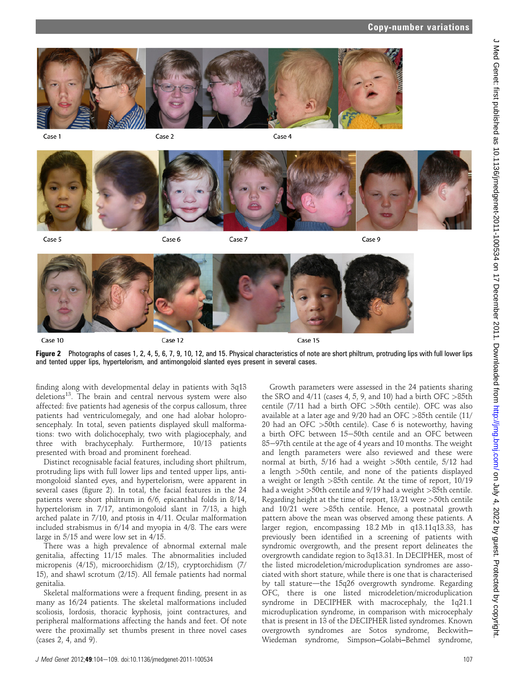

Case 1

Case 2

Case 4



Case 5

Case 6

Case 7

Case 9



Figure 2 Photographs of cases 1, 2, 4, 5, 6, 7, 9, 10, 12, and 15. Physical characteristics of note are short philtrum, protruding lips with full lower lips and tented upper lips, hypertelorism, and antimongoloid slanted eyes present in several cases.

finding along with developmental delay in patients with 3q13 deletions<sup>13</sup>. The brain and central nervous system were also affected: five patients had agenesis of the corpus callosum, three patients had ventriculomegaly, and one had alobar holoprosencephaly. In total, seven patients displayed skull malformations: two with dolichocephaly, two with plagiocephaly, and three with brachycephaly. Furthermore, 10/13 patients presented with broad and prominent forehead.

Distinct recognisable facial features, including short philtrum, protruding lips with full lower lips and tented upper lips, antimongoloid slanted eyes, and hypertelorism, were apparent in several cases (figure 2). In total, the facial features in the 24 patients were short philtrum in 6/6, epicanthal folds in 8/14, hypertelorism in 7/17, antimongoloid slant in 7/13, a high arched palate in 7/10, and ptosis in 4/11. Ocular malformation included strabismus in 6/14 and myopia in 4/8. The ears were large in 5/15 and were low set in 4/15.

There was a high prevalence of abnormal external male genitalia, affecting 11/15 males. The abnormalities included micropenis (4/15), microorchidism (2/15), cryptorchidism (7/ 15), and shawl scrotum (2/15). All female patients had normal genitalia.

Skeletal malformations were a frequent finding, present in as many as 16/24 patients. The skeletal malformations included scoliosis, lordosis, thoracic kyphosis, joint contractures, and peripheral malformations affecting the hands and feet. Of note were the proximally set thumbs present in three novel cases (cases 2, 4, and 9).

Growth parameters were assessed in the 24 patients sharing the SRO and  $4/11$  (cases 4, 5, 9, and 10) had a birth OFC  $>85$ th centile (7/11 had a birth OFC >50th centile). OFC was also available at a later age and 9/20 had an OFC >85th centile (11/ 20 had an OFC  $>50$ th centile). Case 6 is noteworthy, having a birth OFC between 15-50th centile and an OFC between 85-97th centile at the age of 4 years and 10 months. The weight and length parameters were also reviewed and these were normal at birth, 5/16 had a weight >50th centile, 5/12 had a length >50th centile, and none of the patients displayed a weight or length >85th centile. At the time of report, 10/19 had a weight >50th centile and 9/19 had a weight >85th centile. Regarding height at the time of report, 13/21 were >50th centile and 10/21 were >85th centile. Hence, a postnatal growth pattern above the mean was observed among these patients. A larger region, encompassing 18.2 Mb in q13.11q13.33, has previously been identified in a screening of patients with syndromic overgrowth, and the present report delineates the overgrowth candidate region to 3q13.31. In DECIPHER, most of the listed microdeletion/microduplication syndromes are associated with short stature, while there is one that is characterised by tall stature—the 15q26 overgrowth syndrome. Regarding OFC, there is one listed microdeletion/microduplication syndrome in DECIPHER with macrocephaly, the 1q21.1 microduplication syndrome, in comparison with microcephaly that is present in 13 of the DECIPHER listed syndromes. Known overgrowth syndromes are Sotos syndrome, Beckwith-Wiedeman syndrome, Simpson-Golabi-Behmel syndrome,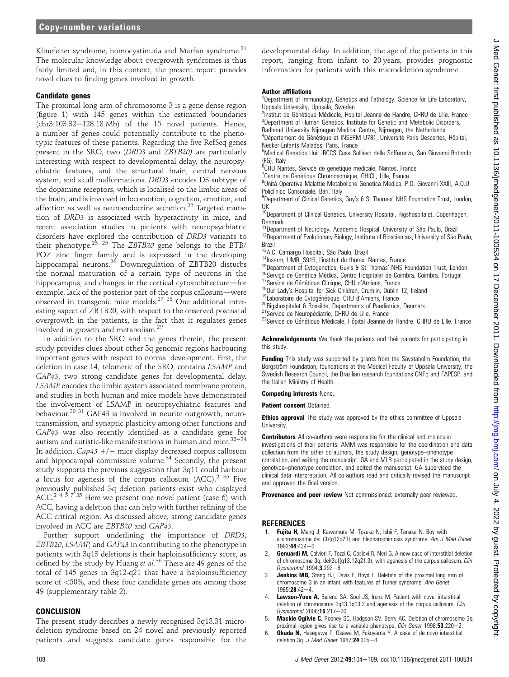Klinefelter syndrome, homocystinuria and Marfan syndrome.<sup>21</sup> The molecular knowledge about overgrowth syndromes is thus fairly limited and, in this context, the present report provides novel clues to finding genes involved in growth.

#### Candidate genes

The proximal long arm of chromosome 3 is a gene dense region (figure 1) with 145 genes within the estimated boundaries  $(chr3:103.32-128.18 Mb)$  of the 15 novel patients. Hence, a number of genes could potentially contribute to the phenotypic features of these patients. Regarding the five RefSeq genes present in the SRO, two (DRD3 and ZBTB20) are particularly interesting with respect to developmental delay, the neuropsychiatric features, and the structural brain, central nervous system, and skull malformations. DRD3 encodes D3 subtype of the dopamine receptors, which is localised to the limbic areas of the brain, and is involved in locomotion, cognition, emotion, and affection as well as neuroendocrine secretion.<sup>22</sup> Targeted mutation of DRD3 is associated with hyperactivity in mice, and recent association studies in patients with neuropsychiatric disorders have explored the contribution of DRD3 variants to their phenotype.<sup>23–25</sup> The *ZBTB20* gene belongs to the BTB/ POZ zinc finger family and is expressed in the developing hippocampal neurons.<sup>26</sup> Downregulation of ZBTB20 disturbs the normal maturation of a certain type of neurons in the hippocampus, and changes in the cortical cytoarchitecture-for example, lack of the posterior part of the corpus callosum-were observed in transgenic mice models.27 28 One additional interesting aspect of ZBTB20, with respect to the observed postnatal overgrowth in the patients, is the fact that it regulates genes involved in growth and metabolism.<sup>2</sup>

In addition to the SRO and the genes therein, the present study provides clues about other 3q genomic regions harbouring important genes with respect to normal development. First, the deletion in case 14, telomeric of the SRO, contains LSAMP and GAP43, two strong candidate genes for developmental delay. LSAMP encodes the limbic system associated membrane protein, and studies in both human and mice models have demonstrated the involvement of LSAMP in neuropsychiatric features and behaviour.<sup>30 31</sup> GAP43 is involved in neurite outgrowth, neurotransmission, and synaptic plasticity among other functions and GAP43 was also recently identified as a candidate gene for autism and autistic-like manifestations in human and mice.  $32-34$ In addition,  $Gap43 + / -$  mice display decreased corpus callosum and hippocampal commissure volume.<sup>34</sup> Secondly, the present study supports the previous suggestion that 3q11 could harbour a locus for agenesis of the corpus callosum  $(ACC)^{2}$ <sup>35</sup> Five previously published 3q deletion patients exist who displayed ACC.<sup>2 4 5 7</sup> <sup>35</sup> Here we present one novel patient (case 6) with ACC, having a deletion that can help with further refining of the ACC critical region. As discussed above, strong candidate genes involved in ACC are ZBTB20 and GAP43.

Further support underlining the importance of DRD3, ZBTB20, LSAMP, and GAP43 in contributing to the phenotype in patients with 3q13 deletions is their haploinsufficiency score, as defined by the study by Huang et al.<sup>36</sup> There are 49 genes of the total of 145 genes in 3q12-q21 that have a haploinsufficiency score of <50%, and these four candidate genes are among those 49 (supplementary table 2).

#### **CONCLUSION**

The present study describes a newly recognised 3q13.31 microdeletion syndrome based on 24 novel and previously reported patients and suggests candidate genes responsible for the

developmental delay. In addition, the age of the patients in this report, ranging from infant to 20 years, provides prognostic information for patients with this microdeletion syndrome.

#### Author affiliations

<sup>1</sup>Department of Immunology, Genetics and Pathology, Science for Life Laboratory, Uppsala University, Uppsala, Sweden

<sup>2</sup> Institut de Génétique Médicale, Hopital Jeanne de Flandre, CHRU de Lille, France<br><sup>3</sup> Department of Human Genetics, Institute for Genetic and Metabolic Disorders <sup>3</sup> Department of Human Genetics, Institute for Genetic and Metabolic Disorders

- Radboud University Nijmegen Medical Centre, Nijmegen, the Netherlands
- <sup>4</sup>Département de Génétique et INSERM U781, Université Paris Descartes, Hôpital, Necker-Enfants Malades, Paris, France

5 Medical Genetics Unit IRCCS Casa Sollievo della Sofferenza, San Giovanni Rotondo (FG), Italy

- <sup>6</sup>CHU Nantes, Service de genetique medicale, Nantes, France
- <sup>7</sup> Centre de Génétique Chromosomique, GHICL, Lille, France<br><sup>8</sup>Llpità Operativa Malattie Metaboliche Genetica Medica, P

<sup>8</sup>Unità Operativa Malattie Metaboliche Genetica Medica, P.O. Giovanni XXIII, A.O.U. Policlinico Consorziale, Bari, Italy

<sup>9</sup>Department of Clinical Genetics, Guy's & St Thomas' NHS Foundation Trust, London, UK

<sup>10</sup>Department of Clinical Genetics, University Hospital, Rigshospitalet, Copenhagen, Denmark

11Department of Neurology, Academic Hospital, University of São Paulo, Brazil<br><sup>12</sup>Department of Evolutionary Biology, Institute of Biosciences, University of São Paulo,

Brazil<br><sup>13</sup>A.C. Camargo Hospital, São Paulo, Brazil

<sup>14</sup>Inserm, UMR S915, l'institut du thorax, Nantes, France<br><sup>15</sup>Department of Cytogenetics, Guy's & St Thomas' NHS Foundation Trust, London<br><sup>16</sup>Serviço de Genética Médica, Centro Hospitalar de Coimbra, Coimbra, Portugal<br><sup>1</sup>

- 
- 
- 
- 
- 

Acknowledgements We thank the patients and their parents for participating in this study.

Funding This study was supported by grants from the Sävstaholm Foundation, the Borgström Foundation, foundations at the Medical Faculty of Uppsala University, the Swedish Research Council, the Brazilian research foundations CNPq and FAPESP, and the Italian Ministry of Health.

Competing interests None.

Patient consent Obtained.

**Ethics approval** This study was approved by the ethics committee of Uppsala **University** 

Contributors All co-authors were responsible for the clinical and molecular investigations of their patients. AMM was responsible for the coordination and data collection from the other co-authors, the study design, genotype-phenotype correlation, and writing the manuscript. GA and MLB participated in the study design, genotype-phenotype correlation, and edited the manuscript. GA supervised the clinical data interpretation. All co-authors read and critically revised the manuscript and approved the final version.

Provenance and peer review Not commissioned; externally peer reviewed.

#### **REFERENCES**

- Fujita H, Meng J, Kawamura M, Tozuka N, Ishii F, Tanaka N. Boy with a chromosome del (3)(q12q23) and blepharophimosis syndrome. Am J Med Genet  $1992 \cdot 44 \cdot 434 - 6$
- **Genuardi M, Calvieri F, Tozzi C, Coslovi R, Neri G. A new case of interstitial deletion** of chromosome 3q, del(3q)(q13.12q21.3), with agenesis of the corpus callosum. Clin Dysmorphol  $1994;3:292-6$ .
- Jenkins MB, Stang HJ, Davis E, Boyd L. Deletion of the proximal long arm of chromosome 3 in an infant with features of Turner syndrome. Ann Genet  $1985:28:42-4$
- 4. **Lawson-Yuen A,** Berend SA, Soul JS, Irons M. Patient with novel interstitial deletion of chromosome 3q13.1q13.3 and agenesis of the corpus callosum. Clin Dysmorphol 2006;15:217-20.
- Mackie Ogilvie C, Rooney SC, Hodgson SV, Berry AC. Deletion of chromosome 3q proximal region gives rise to a variable phenotype. Clin Genet 1998;53:220-2.
- 6. Okada N, Hasegawa T, Osawa M, Fukuyama Y. A case of de novo interstitial deletion 3q. J Med Genet  $1987;$ 24:305-8.